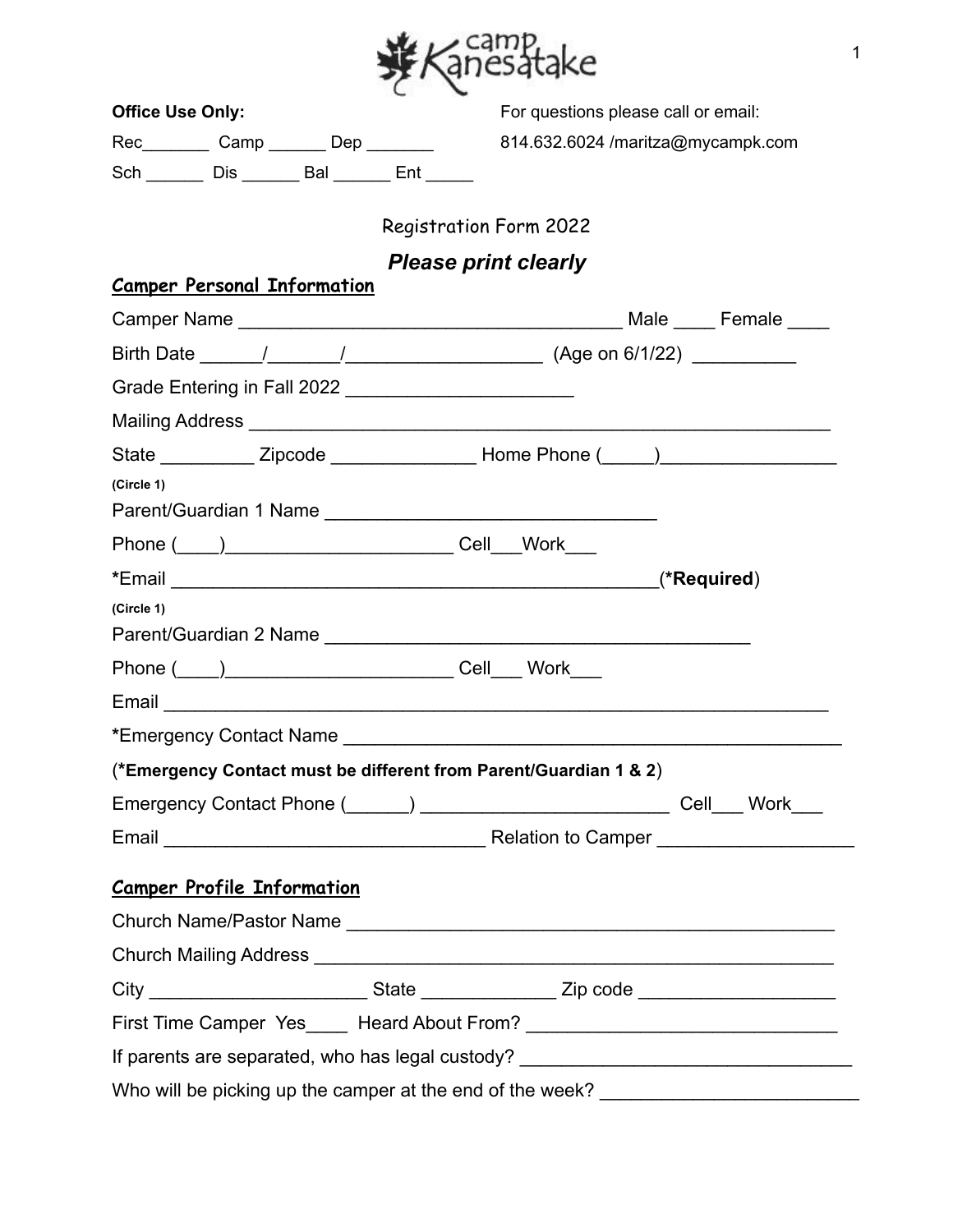

| <b>Office Use Only:</b>                                                                                        |                               | For questions please call or email: |  |
|----------------------------------------------------------------------------------------------------------------|-------------------------------|-------------------------------------|--|
| Rec__________ Camp _______ Dep _______                                                                         |                               | 814.632.6024 /maritza@mycampk.com   |  |
| Sch _______ Dis _______ Bal ______ Ent _____                                                                   |                               |                                     |  |
|                                                                                                                | <b>Registration Form 2022</b> |                                     |  |
|                                                                                                                |                               |                                     |  |
| <b>Camper Personal Information</b>                                                                             |                               | <b>Please print clearly</b>         |  |
|                                                                                                                |                               |                                     |  |
|                                                                                                                |                               |                                     |  |
| Grade Entering in Fall 2022 ____________________________                                                       |                               |                                     |  |
|                                                                                                                |                               |                                     |  |
| State _____________ Zipcode ___________________________Home Phone (_____) _________________________            |                               |                                     |  |
| (Circle 1)                                                                                                     |                               |                                     |  |
|                                                                                                                |                               |                                     |  |
|                                                                                                                |                               |                                     |  |
| *Email (*Required)                                                                                             |                               |                                     |  |
| (Circle 1)                                                                                                     |                               |                                     |  |
|                                                                                                                |                               |                                     |  |
|                                                                                                                |                               |                                     |  |
|                                                                                                                |                               |                                     |  |
| *Emergency Contact Name Law and Contact Name Contact Manual Contact Manual Contact Manual Contact Manual Conta |                               |                                     |  |
| (*Emergency Contact must be different from Parent/Guardian 1 & 2)                                              |                               |                                     |  |
|                                                                                                                |                               |                                     |  |
|                                                                                                                |                               |                                     |  |
|                                                                                                                |                               |                                     |  |
| <b>Camper Profile Information</b>                                                                              |                               |                                     |  |
|                                                                                                                |                               |                                     |  |
|                                                                                                                |                               |                                     |  |
| City _______________________________State __________________Zip code ______________________________            |                               |                                     |  |
|                                                                                                                |                               |                                     |  |
| If parents are separated, who has legal custody? ________________________________                              |                               |                                     |  |
| Who will be picking up the camper at the end of the week?                                                      |                               |                                     |  |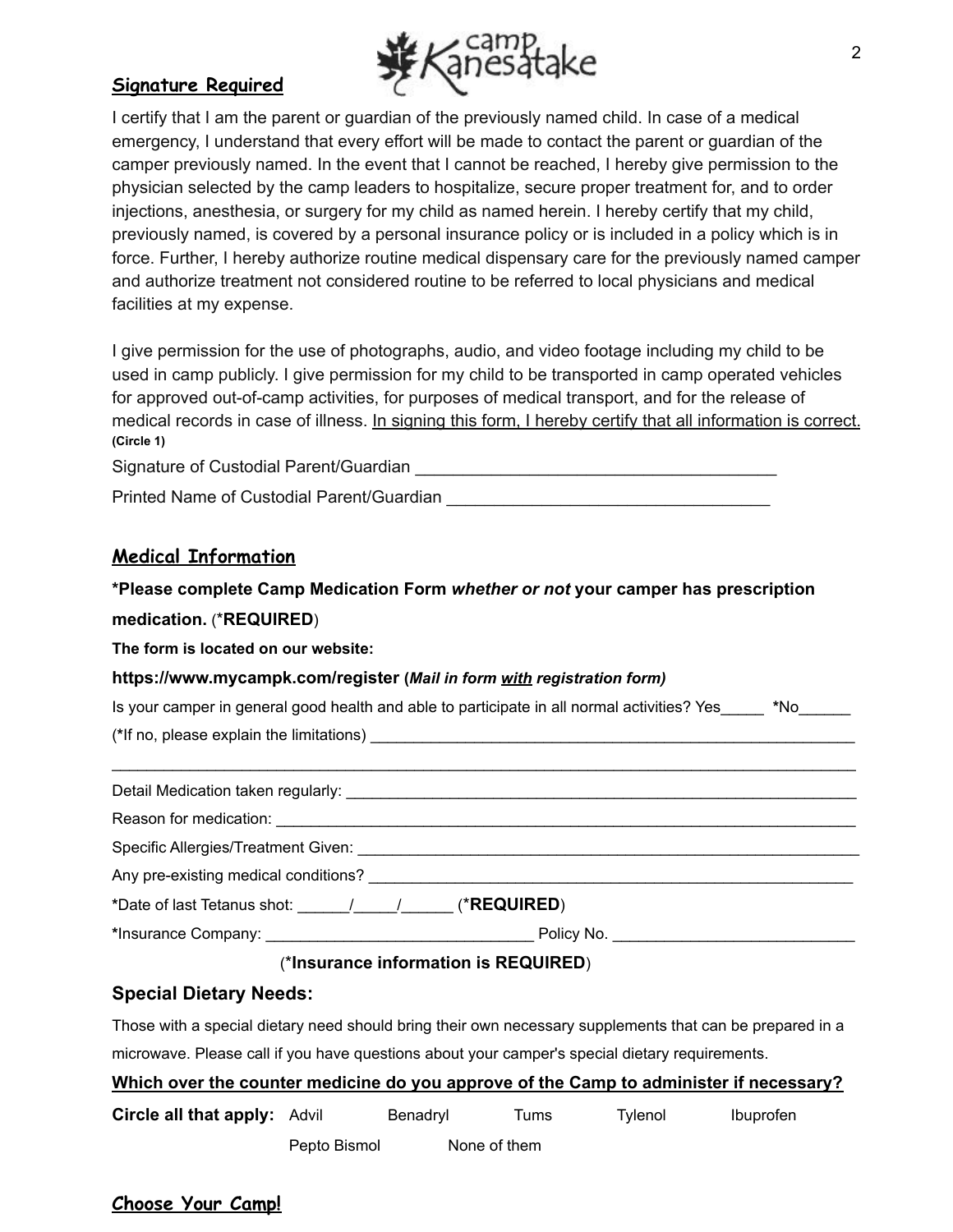

### **Signature Required**

I certify that I am the parent or guardian of the previously named child. In case of a medical emergency, I understand that every effort will be made to contact the parent or guardian of the camper previously named. In the event that I cannot be reached, I hereby give permission to the physician selected by the camp leaders to hospitalize, secure proper treatment for, and to order injections, anesthesia, or surgery for my child as named herein. I hereby certify that my child, previously named, is covered by a personal insurance policy or is included in a policy which is in force. Further, I hereby authorize routine medical dispensary care for the previously named camper and authorize treatment not considered routine to be referred to local physicians and medical facilities at my expense.

I give permission for the use of photographs, audio, and video footage including my child to be used in camp publicly. I give permission for my child to be transported in camp operated vehicles for approved out-of-camp activities, for purposes of medical transport, and for the release of medical records in case of illness. In signing this form, I hereby certify that all information is correct. **(Circle 1)**

Signature of Custodial Parent/Guardian \_\_\_\_\_\_\_\_\_\_\_\_\_\_\_\_\_\_\_\_\_\_\_\_\_\_\_\_\_\_\_\_\_\_\_\_\_\_

Printed Name of Custodial Parent/Guardian **Example 20** 

### **Medical Information**

# **\*Please complete Camp Medication Form** *whether or not* **your camper has prescription medication.** (\***REQUIRED**)

**The form is located on our website:**

#### **https://www.mycampk.com/register (***Mail in form with registration form)*

| Is your camper in general good health and able to participate in all normal activities? Yes | *No. |
|---------------------------------------------------------------------------------------------|------|
| (*If no, please explain the limitations)                                                    |      |

| Specific Allergies/Treatment Given: Network and Allergies and Allergies and Allergies and Allergies and Allergies                                                                                                                                                                                                                                                                                         |  |
|-----------------------------------------------------------------------------------------------------------------------------------------------------------------------------------------------------------------------------------------------------------------------------------------------------------------------------------------------------------------------------------------------------------|--|
| Any pre-existing medical conditions?                                                                                                                                                                                                                                                                                                                                                                      |  |
| *Date of last Tetanus shot: $\frac{1}{\sqrt{1-\frac{1}{\sqrt{1-\frac{1}{\sqrt{1-\frac{1}{\sqrt{1-\frac{1}{\sqrt{1-\frac{1}{\sqrt{1-\frac{1}{\sqrt{1-\frac{1}{\sqrt{1-\frac{1}{\sqrt{1-\frac{1}{\sqrt{1-\frac{1}{\sqrt{1-\frac{1}{\sqrt{1-\frac{1}{\sqrt{1-\frac{1}{\sqrt{1-\frac{1}{\sqrt{1-\frac{1}{\sqrt{1-\frac{1}{\sqrt{1-\frac{1}{\sqrt{1-\frac{1}{\sqrt{1-\frac{1}{\sqrt{1-\frac{1}{\sqrt{1-\frac{$ |  |
|                                                                                                                                                                                                                                                                                                                                                                                                           |  |

#### (\***Insurance information is REQUIRED**)

#### **Special Dietary Needs:**

Those with a special dietary need should bring their own necessary supplements that can be prepared in a microwave. Please call if you have questions about your camper's special dietary requirements.

| Which over the counter medicine do you approve of the Camp to administer if necessary? |
|----------------------------------------------------------------------------------------|
|                                                                                        |

| <b>Circle all that apply: Advil</b> |              | Benadryl | lums.        | Tvlenol | Ibuprofen |
|-------------------------------------|--------------|----------|--------------|---------|-----------|
|                                     | Pepto Bismol |          | None of them |         |           |

# **Choose Your Camp!**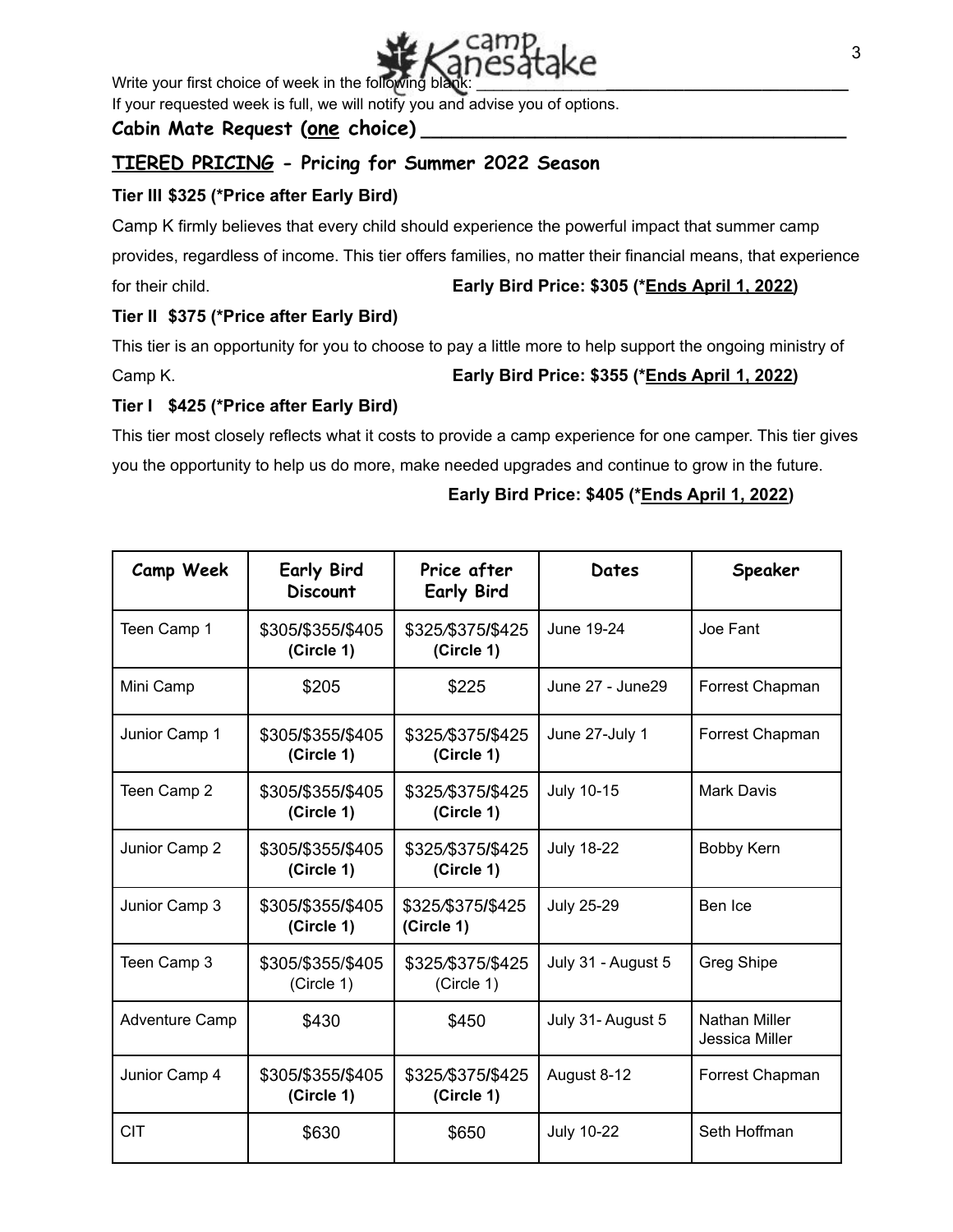

Write your first choice of week in the following blan

If your requested week is full, we will notify you and advise you of options.

## **Cabin Mate Request (one choice) \_\_\_\_\_\_\_\_\_\_\_\_\_\_\_\_\_\_\_\_\_\_\_\_\_\_\_\_\_\_\_\_\_\_\_\_\_\_\_\_\_**

# **TIERED PRICING - Pricing for Summer 2022 Season**

## **Tier III \$325 (\*Price after Early Bird)**

Camp K firmly believes that every child should experience the powerful impact that summer camp provides, regardless of income. This tier offers families, no matter their financial means, that experience for their child. **Early Bird Price: \$305 (\*Ends April 1, 2022)**

#### **Tier II \$375 (\*Price after Early Bird)**

This tier is an opportunity for you to choose to pay a little more to help support the ongoing ministry of Camp K. **Early Bird Price: \$355 (\*Ends April 1, 2022)**

#### **Tier I \$425 (\*Price after Early Bird)**

This tier most closely reflects what it costs to provide a camp experience for one camper. This tier gives you the opportunity to help us do more, make needed upgrades and continue to grow in the future.

#### **Camp Week Early Bird Discount Price after Early Bird Dates Speaker** Teen Camp 1 \$305**/**\$355**/**\$405 **(Circle 1)** \$325*/*\$375**/**\$425 **(Circle 1)** June 19-24 Joe Fant Mini Camp  $\begin{array}{|c|c|c|c|c|c|c|c|c|} \hline \text{Mini } \text{Camp} & \text{S205} & \text{S205} & \text{June } 27 & \text{June 29} & \text{Forrest } \text{Chapman} \hline \end{array}$ Junior Camp 1 \$305**/**\$355**/**\$405 **(Circle 1)** \$325*/*\$375**/**\$425 **(Circle 1)** June 27-July 1 Forrest Chapman Teen Camp 2 \$305**/**\$355**/**\$405 **(Circle 1)** \$325*/*\$375**/**\$425 **(Circle 1)** July 10-15 Mark Davis Junior Camp 2 \$305**/**\$355**/**\$405 **(Circle 1)** \$325*/*\$375**/**\$425 **(Circle 1)** July 18-22 Bobby Kern Junior Camp 3 \$305**/**\$355**/**\$405 **(Circle 1)** \$325*/*\$375**/**\$425 **(Circle 1)** July 25-29 | Ben Ice Teen Camp 3 | \$305/\$355/\$405 (Circle 1) \$325*/*\$375/\$425 (Circle 1) July 31 - August 5 | Greg Shipe Adventure Camp | \$430 | \$450 July 31- August 5 Nathan Miller Jessica Miller Junior Camp 4 \$305**/**\$355**/**\$405 **(Circle 1)** \$325*/*\$375**/**\$425 **(Circle 1)** August 8-12 Forrest Chapman CIT 6630 \$630 \$650 July 10-22 Seth Hoffman

#### **Early Bird Price: \$405 (\*Ends April 1, 2022)**